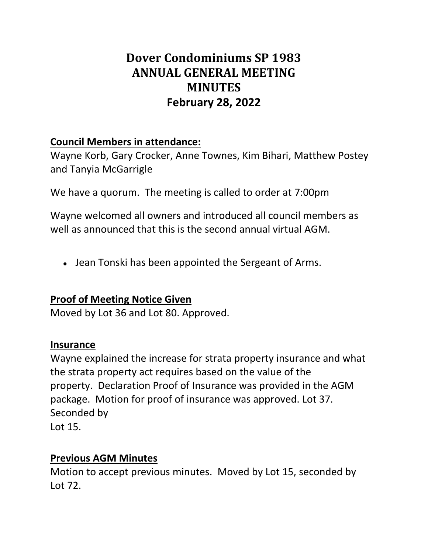# **Dover Condominiums SP 1983 ANNUAL GENERAL MEETING MINUTES February 28, 2022**

## **Council Members in attendance:**

Wayne Korb, Gary Crocker, Anne Townes, Kim Bihari, Matthew Postey and Tanyia McGarrigle

We have a quorum. The meeting is called to order at 7:00pm

Wayne welcomed all owners and introduced all council members as well as announced that this is the second annual virtual AGM.

• Jean Tonski has been appointed the Sergeant of Arms.

## **Proof of Meeting Notice Given**

Moved by Lot 36 and Lot 80. Approved.

### **Insurance**

Wayne explained the increase for strata property insurance and what the strata property act requires based on the value of the property. Declaration Proof of Insurance was provided in the AGM package. Motion for proof of insurance was approved. Lot 37. Seconded by

Lot 15.

## **Previous AGM Minutes**

Motion to accept previous minutes. Moved by Lot 15, seconded by Lot 72.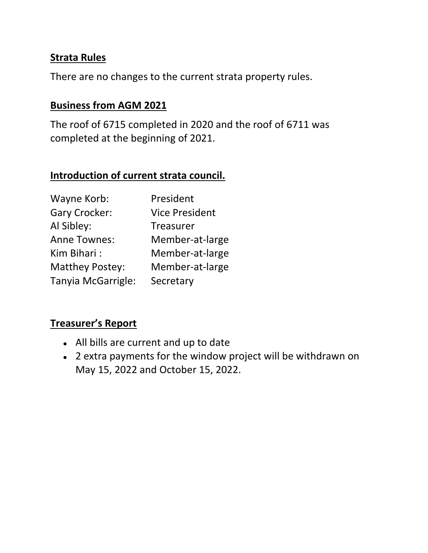### **Strata Rules**

There are no changes to the current strata property rules.

### **Business from AGM 2021**

The roof of 6715 completed in 2020 and the roof of 6711 was completed at the beginning of 2021.

### **Introduction of current strata council.**

| Wayne Korb:            | President             |
|------------------------|-----------------------|
| <b>Gary Crocker:</b>   | <b>Vice President</b> |
| Al Sibley:             | Treasurer             |
| <b>Anne Townes:</b>    | Member-at-large       |
| Kim Bihari:            | Member-at-large       |
| <b>Matthey Postey:</b> | Member-at-large       |
| Tanyia McGarrigle:     | Secretary             |

### **Treasurer's Report**

- All bills are current and up to date
- 2 extra payments for the window project will be withdrawn on May 15, 2022 and October 15, 2022.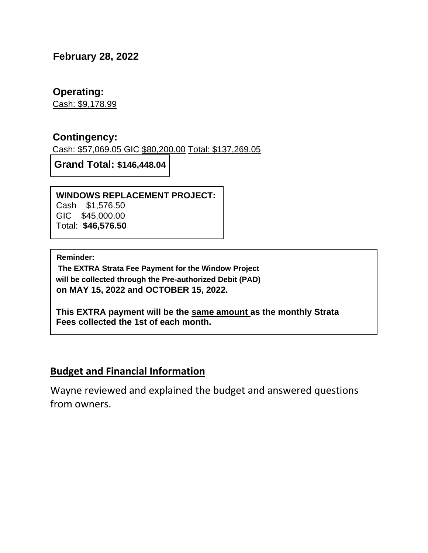### **February 28, 2022**

#### **Operating:**

Cash: \$9,178.99

### **Contingency:**

Cash: \$57,069.05 GIC \$80,200.00 Total: \$137,269.05

**Grand Total: \$146,448.04**

#### **WINDOWS REPLACEMENT PROJECT:**

Cash \$1,576.50 GIC \$45,000.00 Total: **\$46,576.50**

**Reminder:** 

**The EXTRA Strata Fee Payment for the Window Project will be collected through the Pre-authorized Debit (PAD) on MAY 15, 2022 and OCTOBER 15, 2022.**

**This EXTRA payment will be the same amount as the monthly Strata Fees collected the 1st of each month.**

## **Budget and Financial Information**

Wayne reviewed and explained the budget and answered questions from owners.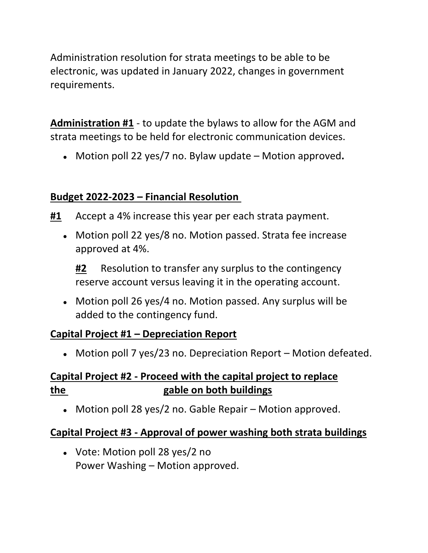Administration resolution for strata meetings to be able to be electronic, was updated in January 2022, changes in government requirements.

**Administration #1** - to update the bylaws to allow for the AGM and strata meetings to be held for electronic communication devices.

● Motion poll 22 yes/7 no. Bylaw update – Motion approved**.**

## **Budget 2022-2023 – Financial Resolution**

- **#1** Accept a 4% increase this year per each strata payment.
	- Motion poll 22 yes/8 no. Motion passed. Strata fee increase approved at 4%.

**#2** Resolution to transfer any surplus to the contingency reserve account versus leaving it in the operating account.

• Motion poll 26 yes/4 no. Motion passed. Any surplus will be added to the contingency fund.

## **Capital Project #1 – Depreciation Report**

• Motion poll 7 yes/23 no. Depreciation Report – Motion defeated.

## **Capital Project #2 - Proceed with the capital project to replace the gable on both buildings**

• Motion poll 28 yes/2 no. Gable Repair – Motion approved.

## **Capital Project #3 - Approval of power washing both strata buildings**

• Vote: Motion poll 28 yes/2 no Power Washing – Motion approved.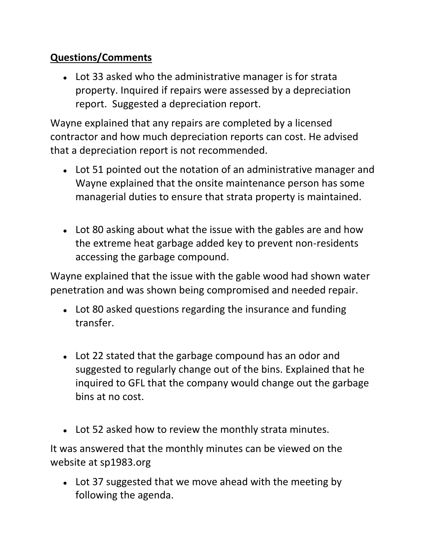## **Questions/Comments**

• Lot 33 asked who the administrative manager is for strata property. Inquired if repairs were assessed by a depreciation report. Suggested a depreciation report.

Wayne explained that any repairs are completed by a licensed contractor and how much depreciation reports can cost. He advised that a depreciation report is not recommended.

- Lot 51 pointed out the notation of an administrative manager and Wayne explained that the onsite maintenance person has some managerial duties to ensure that strata property is maintained.
- Lot 80 asking about what the issue with the gables are and how the extreme heat garbage added key to prevent non-residents accessing the garbage compound.

Wayne explained that the issue with the gable wood had shown water penetration and was shown being compromised and needed repair.

- Lot 80 asked questions regarding the insurance and funding transfer.
- Lot 22 stated that the garbage compound has an odor and suggested to regularly change out of the bins. Explained that he inquired to GFL that the company would change out the garbage bins at no cost.
- Lot 52 asked how to review the monthly strata minutes.

It was answered that the monthly minutes can be viewed on the website at sp1983.org

• Lot 37 suggested that we move ahead with the meeting by following the agenda.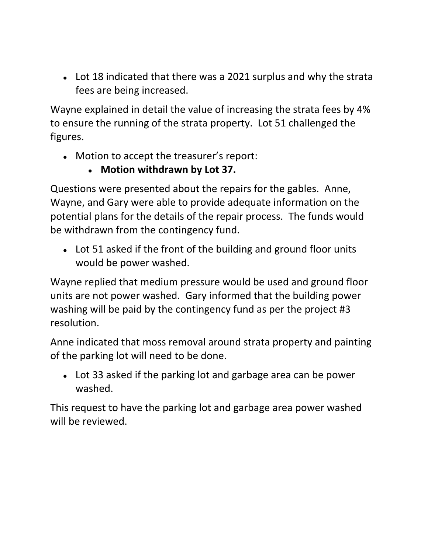• Lot 18 indicated that there was a 2021 surplus and why the strata fees are being increased.

Wayne explained in detail the value of increasing the strata fees by 4% to ensure the running of the strata property. Lot 51 challenged the figures.

- Motion to accept the treasurer's report:
	- **Motion withdrawn by Lot 37.**

Questions were presented about the repairs for the gables. Anne, Wayne, and Gary were able to provide adequate information on the potential plans for the details of the repair process. The funds would be withdrawn from the contingency fund.

• Lot 51 asked if the front of the building and ground floor units would be power washed.

Wayne replied that medium pressure would be used and ground floor units are not power washed. Gary informed that the building power washing will be paid by the contingency fund as per the project #3 resolution.

Anne indicated that moss removal around strata property and painting of the parking lot will need to be done.

• Lot 33 asked if the parking lot and garbage area can be power washed.

This request to have the parking lot and garbage area power washed will be reviewed.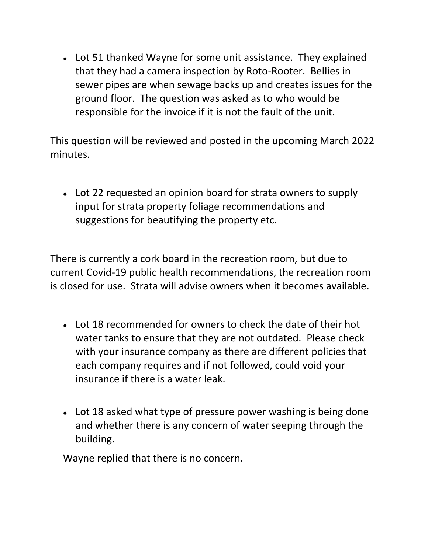• Lot 51 thanked Wayne for some unit assistance. They explained that they had a camera inspection by Roto-Rooter. Bellies in sewer pipes are when sewage backs up and creates issues for the ground floor. The question was asked as to who would be responsible for the invoice if it is not the fault of the unit.

This question will be reviewed and posted in the upcoming March 2022 minutes.

• Lot 22 requested an opinion board for strata owners to supply input for strata property foliage recommendations and suggestions for beautifying the property etc.

There is currently a cork board in the recreation room, but due to current Covid-19 public health recommendations, the recreation room is closed for use. Strata will advise owners when it becomes available.

- Lot 18 recommended for owners to check the date of their hot water tanks to ensure that they are not outdated. Please check with your insurance company as there are different policies that each company requires and if not followed, could void your insurance if there is a water leak.
- Lot 18 asked what type of pressure power washing is being done and whether there is any concern of water seeping through the building.

Wayne replied that there is no concern.